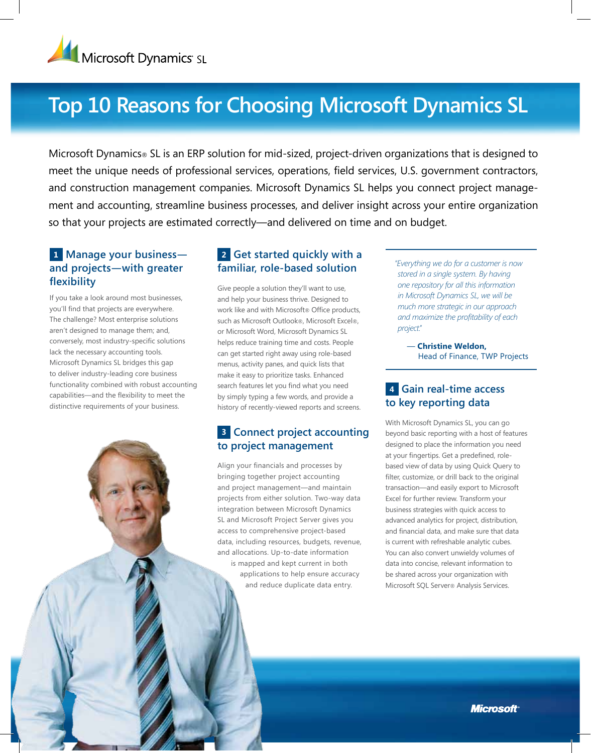

# **Top 10 Reasons for Choosing Microsoft Dynamics SL**

Microsoft Dynamics® SL is an ERP solution for mid-sized, project-driven organizations that is designed to meet the unique needs of professional services, operations, field services, U.S. government contractors, and construction management companies. Microsoft Dynamics SL helps you connect project management and accounting, streamline business processes, and deliver insight across your entire organization so that your projects are estimated correctly—and delivered on time and on budget.

#### **1 Manage your business and projects—with greater flexibility**

If you take a look around most businesses, you'll find that projects are everywhere. The challenge? Most enterprise solutions aren't designed to manage them; and, conversely, most industry-specific solutions lack the necessary accounting tools. Microsoft Dynamics SL bridges this gap to deliver industry-leading core business functionality combined with robust accounting capabilities—and the flexibility to meet the distinctive requirements of your business.

#### **2 Get started quickly with a familiar, role-based solution**

Give people a solution they'll want to use, and help your business thrive. Designed to work like and with Microsoft® Office products, such as Microsoft Outlook®, Microsoft Excel®, or Microsoft Word, Microsoft Dynamics SL helps reduce training time and costs. People can get started right away using role-based menus, activity panes, and quick lists that make it easy to prioritize tasks. Enhanced search features let you find what you need by simply typing a few words, and provide a history of recently-viewed reports and screens.

# **3 Connect project accounting to project management**

Align your financials and processes by bringing together project accounting and project management—and maintain projects from either solution. Two-way data integration between Microsoft Dynamics SL and Microsoft Project Server gives you access to comprehensive project-based data, including resources, budgets, revenue, and allocations. Up-to-date information is mapped and kept current in both applications to help ensure accuracy and reduce duplicate data entry.

*"Everything we do for a customer is now stored in a single system. By having one repository for all this information in Microsoft Dynamics SL, we will be much more strategic in our approach and maximize the profitability of each project."* 

— **Christine Weldon,**  Head of Finance, TWP Projects

#### **4 Gain real-time access to key reporting data**

With Microsoft Dynamics SL, you can go beyond basic reporting with a host of features designed to place the information you need at your fingertips. Get a predefined, rolebased view of data by using Quick Query to filter, customize, or drill back to the original transaction—and easily export to Microsoft Excel for further review. Transform your business strategies with quick access to advanced analytics for project, distribution, and financial data, and make sure that data is current with refreshable analytic cubes. You can also convert unwieldy volumes of data into concise, relevant information to be shared across your organization with Microsoft SQL Server® Analysis Services.